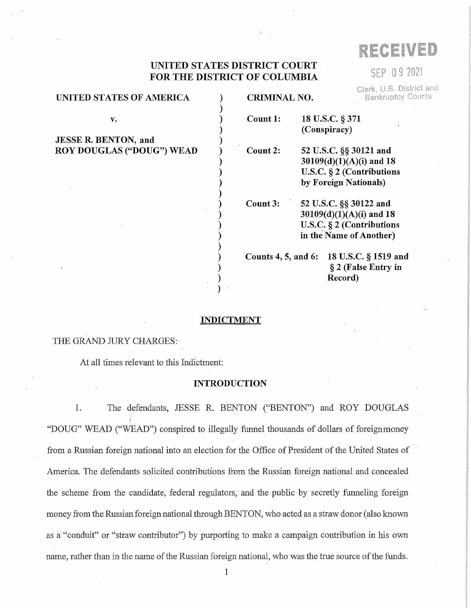# RECEIVED

SEP 09 2021

Clerk, U.S. District and

# **UNITED STATES DISTRICT COURT FOR THE DISTRICT OF COLUMBIA**

| UNITED STATES OF AMERICA         | <b>CRIMINAL NO.</b><br><b>Bankruptcy Courts</b> |                                                                                                               |
|----------------------------------|-------------------------------------------------|---------------------------------------------------------------------------------------------------------------|
| v.                               | Count 1:                                        | 18 U.S.C. § 371<br>(Conspiracy)                                                                               |
| <b>JESSE R. BENTON, and</b>      |                                                 |                                                                                                               |
| <b>ROY DOUGLAS ("DOUG") WEAD</b> | Count 2:                                        | 52 U.S.C. §§ 30121 and<br>$30109(d)(1)(A)(i)$ and 18<br>U.S.C. $\S 2$ (Contributions<br>by Foreign Nationals) |
|                                  | Count 3:                                        | 52 U.S.C. §§ 30122 and<br>$30109(d)(1)(A)(i)$ and 18<br>U.S.C. § 2 (Contributions<br>in the Name of Another)  |
|                                  |                                                 | Counts 4, 5, and 6: 18 U.S.C. § 1519 and<br>§ 2 (False Entry in<br>Record)                                    |

#### **INDICTMENT**

#### THE GRAND *WRY* CHARGES:

At all times relevant to this Indictment:

#### **INTRODUCTION**

1. The defendants, JESSE R. BENTON ("BENTON") and ROY DOUGLAS "DOUG" WEAD ("WEAD") conspired to illegally funnel thousands of dollars of foreignmoney from a Russian foreign national into an election for the Office of President of the United States of America. The defendants solicited contributions from the Russian foreign national and concealed the scheme from the candidate, federal regulators, and the public by secretly funneling foreign money from the Russian foreign national through BENTON, who acted as a straw donor ( also known as a "conduit" or "straw contributor") by purporting to make a campaign contribution in his own name, rather than in the name of the Russian foreign national, who was the true source of the funds.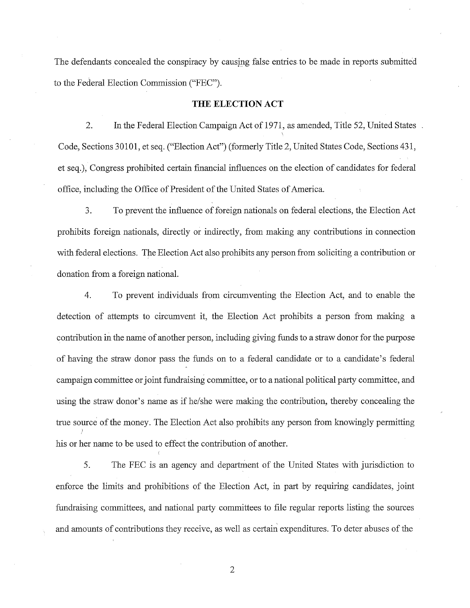The defendants concealed the conspiracy by causing false entries to be made in reports submitted to the Federal Election Commission ("FEC").

#### **THE ELECTION ACT**

2. In the Federal Election Campaign Act of 1971, as amended, Title 52, United States Code, Sections 30101, et seq. ("Election Act") (formerly Title 2, United States Code, Sections 431, et seq.), Congress prohibited certain financial influences on the election of candidates for federal office, including the Office of President of the United States of America.

3. To prevent the influence offoreign nationals on federal elections, the Election Act prohibits foreign nationals, directly or indirectly, from making any contributions in connection with federal elections. The Election Act also prohibits any person from soliciting a contribution or donation from a foreign national.

4. To prevent individuals from circumventing the Election Act, and to enable the detection of attempts to circumvent it, the Election Act prohibits a person from making a contribution in the name of another person, including giving funds to a straw donor for the purpose of having the straw donor pass the funds on to a federal candidate or to a candidate's federal campaign committee or joint fundraising committee, or to a national political party committee, and using the straw donor's name as if he/she were making the contribution, thereby concealing the true source of the money. The Election Act also prohibits any person from knowingly permitting } his or her name to be used to effect the contribution of another.

5. The FEC is an agency and department of the United States with jurisdiction to enforce the limits and prohibitions of the Election Act, in part by requiring candidates, joint fundraising committees, and national party committees to file regular reports listing the sources and amounts of contributions they receive, as well as certain expenditures. To deter abuses of the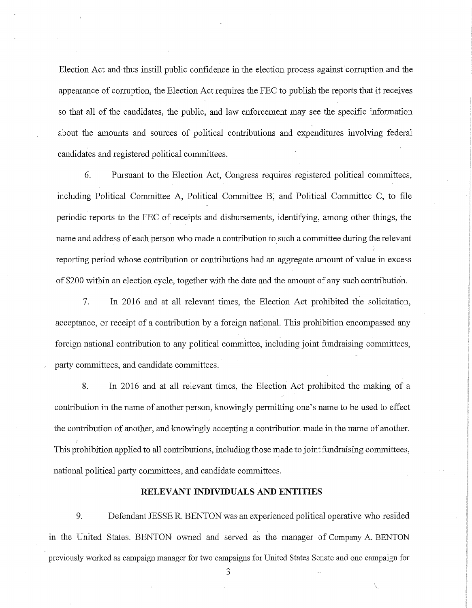Election Act and thus instill public confidence in the election process against corruption and the appearance of corruption, the Election Act requires the FEC to publish the reports that it receives so that all of the candidates, the public, and law enforcement may see the specific information about the amounts and sources of political contributions and expenditures involving federal candidates and registered political committees.

6. Pursuant to the Election Act, Congress requires registered political committees, including Political Committee A, Political Committee B, and Political Committee C, to file periodic reports to the FEC of receipts and disbursements, identifying, among other things, the name and address of each person who made a contribution to such a committee during the relevant reporting period whose contribution or contributions had an aggregate amount of value in excess of \$200 within an election cycle, together with the date and the amount of any such contribution.

7. In 2016 and at all relevant times, the Election Act prohibited the solicitation, acceptance, or receipt of a contribution by a foreign national. This prohibition encompassed any foreign national contribution to any political committee, including joint fundraising committees, party committees, and candidate committees.

8. In 2016 and at all relevant times, the Election Act prohibited the making of a contribution in the name of another person, knowingly permitting one's name to be used to effect the contribution of another, and knowingly accepting a contribution made in the name of another. This prohibition applied to all contributions, including those made to joint fundraising committees, national political party committees, and candidate committees.

#### **RELEVANT INDIVIDUALS AND ENTITIES**

9. Defendant JESSE R. BENTON was an experienced political operative who resided in the United States. BENTON owned and served as the manager of Company A. BENTON previously worked as campaign manager for two campaigns for United States Senate and one campaign for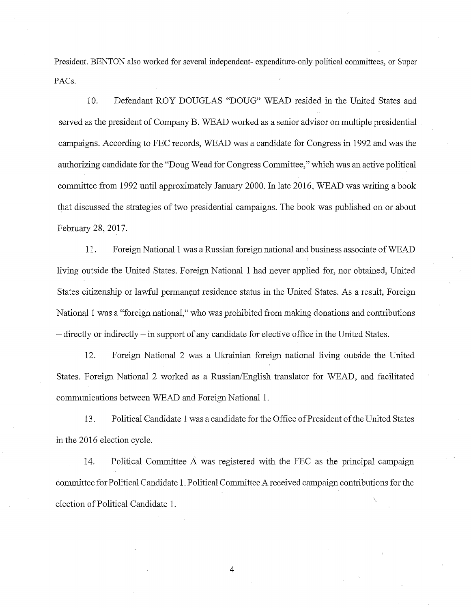President. BENTON also worked for several independent- expenditure-only political committees, or Super PACs.

10. Defendant ROY DOUGLAS "DOUG" WEAD resided in the United States and served as the president of Company B. WEAD worked as a senior advisor on multiple presidential campaigns. According to FEC records, WEAD was a candidate for Congress in 1992 and was the authorizing candidate for the "Doug Wead for Congress Committee," which was an active political committee from 1992 until approximately January 2000. In late 2016, WEAD was writing a book that discussed the strategies of two presidential campaigns. The book was published on or about February 28, 2017.

11. Foreign National 1 was a Russian foreign national and business associate ofWEAD living outside the United States. Foreign National 1 had never applied for, nor obtained, United States citizenship or lawful permanent residence status in the United States. As a result, Foreign National 1 was a "foreign national," who was prohibited from making donations and contributions - directly or indirectly - in support of any candidate for elective office in the United States.

12. Foreign National 2 was a Ukrainian foreign national living outside the United States. Foreign National 2 worked as a Russian/English translator for WEAD, and facilitated communications between WEAD and Foreign National 1.

13. Political Candidate 1 was a candidate for the Office of President of the United States in the 2016 election cycle.

14. Political Committee  $\overline{A}$  was registered with the FEC as the principal campaign committee for Political Candidate 1. Political Committee A received campaign contributions for the election of Political Candidate 1.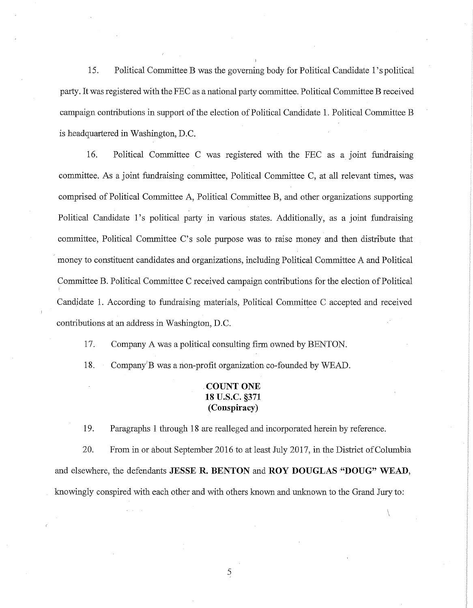15. Political Committee B was the governing body for Political Candidate l's political party. It was registered with the FEC as a national party committee. Political Committee B received campaign contributions in support of the election of Political Candidate 1. Political Committee B is headquartered in Washington, D.C.

16. Political Committee C was registered with the FEC as a joint fundraising committee. As a joint fundraising committee, Political Committee C, at all relevant times, was comprised of Political Committee A, Political Committee B, and other organizations supporting Political Candidate 1's political party in various states. Additionally, as a joint fundraising committee, Political Committee C's sole purpose was to raise money and then distribute that money to constituent candidates and organizations, including Political Committee A and Political Committee B. Political Committee C received campaign contributions for the election of Political Candidate 1. According to fundraising materials, Political Committee C accepted and received contributions at an address in Washington, D.C.

17. Company A was a political consulting firm owned by BENTON.

18. Company'B was a non-profit organization co-founded by WEAD.

# **. COUNT ONE 18 u.s.c. §371 (Conspiracy)**

19. Paragraphs 1 through 18 are realleged and incorporated herein by reference.

20. From in or about September 2016 to at least July 2017, in the District ofColumbia and elsewhere, the defendants **JESSE R. BENTON** and **ROY DOUGLAS ·"DOUG" WEAD,**  knowingly conspired with each other and with others known and unknown to the Grand Jury to:

 $\setminus$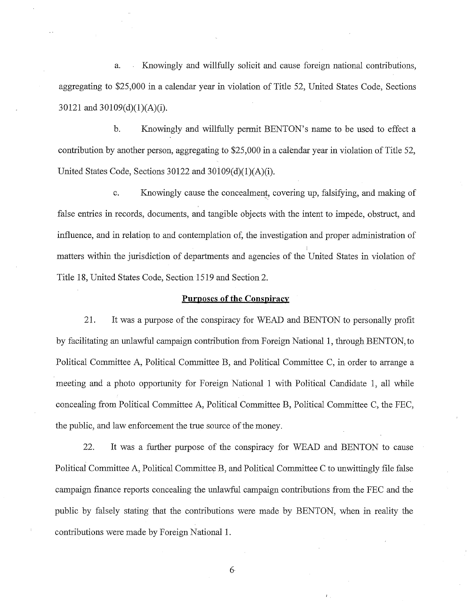a. Knowingly and willfully solicit and cause foreign national contributions, aggregating to \$25,000 in a calendar year in violation of Title 52, United States Code, Sections 30121 and 30109(d)(1)(A)(i).

b. Knowingly and willfully permit BENTON's name to be used to effect a contribution by another person, aggregating to \$25,000 in a calendar year in violation of Title 52, United States Code, Sections  $30122$  and  $30109(d)(1)(A)(i)$ .

c. Knowingly cause the concealment, covering up, falsifying, and making of false entries in records, documents, and tangible objects with the intent to impede, obstruct, and influence, and in relation to and contemplation of, the investigation and proper administration of matters within the jurisdiction of departments and agencies of the United States in violation of Title 18, United States Code, Section 1519 and Section 2.

#### **Purposes of the Conspiracy**

21. It was a purpose of the conspiracy for WEAD and BENTON to personally profit by facilitating an unlawful campaign contribution from Foreign National 1, through BENTON, to Political Committee A, Political Committee B, and Political Committee C, in order to arrange a meeting and a photo opportunity for Foreign National 1 with Political Candidate 1, all while concealing from Political Committee A, Political Committee B, Political Committee C, the FEC, the public, and law enforcement the true source of the money.

22. It was a further purpose of the conspiracy for WEAD and BENTON to cause Political Committee A, Political Committee B, and Political Committee C to unwittingly file false campaign finance reports concealing the unlawful campaign contributions from the FEC and the public by falsely stating that the contributions were made by BENTON, when in reality the contributions were made by Foreign National 1.

6-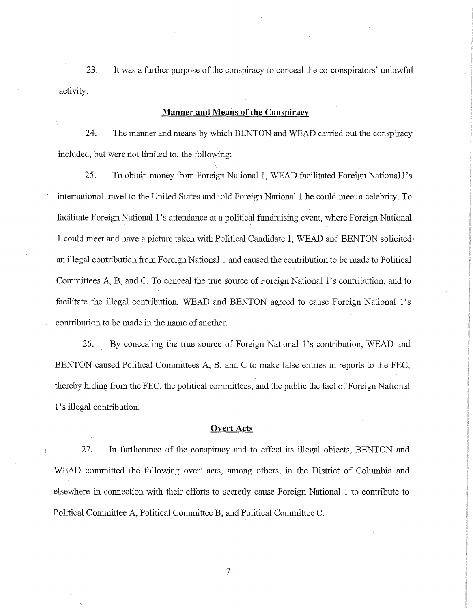23. It was a further purpose of the conspiracy to conceal the co-conspirators' unlawful activity.

## **Manner and Means of the Conspiracy**

24. The manner and means by which BENTON and WEAD carried out the conspiracy included, but were not limited to, the following:

25. To obtain money from Foreign National 1, WEAD facilitated Foreign National 1's international travel to the United States and told Foreign National **1** he could meet a celebrity. To facilitate Foreign National 1's attendance at a political fundraising event, where Foreign National 1 could meet and have a picture taken with Political Candidate 1, WEAD and BENTON solicited, an illegal contribution from Foreign National 1 and caused the contribution to be made to Political Committees A, B, and C. To conceal the true s'ource of Foreign National 1's contribution, and to facilitate the illegal contribution, WEAD and BENTON agreed to cause Foreign National 1's contribution to be made in the name of another.

26. By concealing the true source of Foreign National 1's contribution, WEAD and BENTON caused Political Committees A, B, and C to make false entries in reports to the FEC, thereby hiding from the FEC, the political committees, and the public the fact of Foreign National 1's illegal contribution.

#### **Overt Acts**

27. In furtherance of the conspiracy and to effect its illegal objects, BENTON and WEAD committed the following overt acts, among others, in the District of Columbia and elsewhere in connection with their efforts to secretly cause Foreign National 1 to contribute to Political Committee A, Political Committee B, and Political Committee C.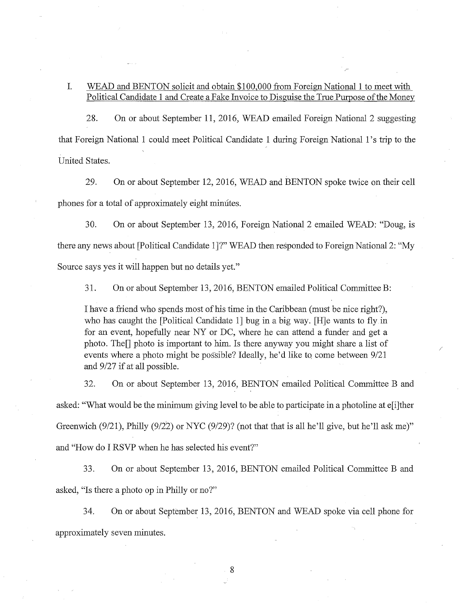# I. WEAD and BENTON solicit and obtain \$100,000 from Foreign National 1 to meet with Political Candidate 1 and Create a Fake Invoice to Disguise the True Purpose of the Money

28. On or about September 11, 2016, WEAD emailed Foreign National 2 suggesting that Foreign National 1 could meet Political Candidate 1 during Foreign National 1'strip to the United States.

29. On or about September 12, 2016, WEAD and BENTON spoke twice on their cell phones for a total of approximately eight minutes.

30. On or about September 13, 2016, Foreign National 2 emailed WEAD: "Doug, is there any news about [Political Candidate I]?" WEAD then responded to Foreign National 2: "My Source says yes it will happen but no details yet."

31. On or about September 13, 2016, BENTON emailed Political Committee B:

I have a friend who spends most of his time in the Caribbean (must be nice right?), who has caught the [Political Candidate 1] bug in a big way. [H]e wants to fly in for an event, hopefully near NY or DC, where he can attend a funder and get a photo. The $\Box$  photo is important to him. Is there anyway you might share a list of events where a photo might be possible? Ideally, he'd like to come between  $9/21$ and 9/27 if at all possible.

32. On or about September 13, 2016, BENTON emailed Political Committee B and asked: "What would be the minimum giving level to be able to participate in a photoline at e[i]ther Greenwich  $(9/21)$ , Philly  $(9/22)$  or NYC  $(9/29)$ ? (not that that is all he'll give, but he'll ask me)" and "How do I RSVP when he has selected his event?"

33. On or about September 13, 2016, BENTON emailed Political Committee B and asked, "Is there a photo op in Philly or no?"

34. On or about September 13, 2016, BENTON and WEAD spoke via cell phone for 5 approximately seven minutes.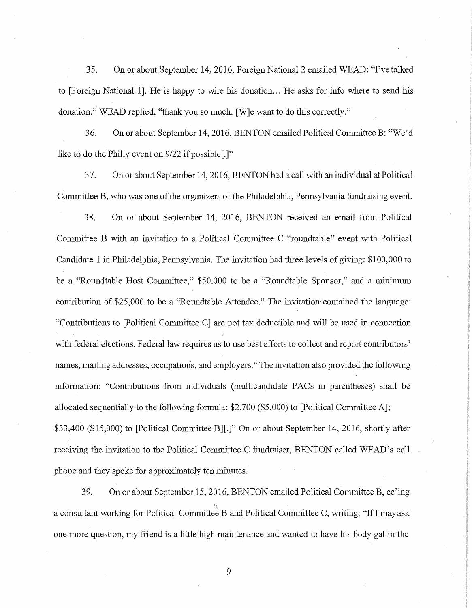35. On or about September 14, 2016, Foreign National 2 emailed WEAD: "I've talked to [Foreign National 1]. He is happy to wire his donation... He asks for info where to send his donation." WEAD replied, "thank you so much. [W]e want to do this correctly."

36. On or about September 14, 2016, BENTON emailed Political CommitteeB: "We'd like to do the Philly event on 9/22 if possible[.]"

37. Onor about September 14, 2016, BENTON had a call with an individual at Political Committee B, who was one of the organizers of the Philadelphia, Pennsylvania fundraising event.

38. On or about September 14, 2016, BENTON received an email from Political Committee B with an invitation to a Political Committee C "roundtable" event with Political Candidate 1 in Philadelphia, Pennsylvania. The invitation had three levels of giving: \$100,000 to be a "Roundtable Host Committee," \$50,000 to be a "Roundtable Sponsor," and a minimum contribution of \$25,000 to be a "Roundtable Attendee." The invitation-contained the language: "Contributions to [Political Committee CJ are not tax deductible and wiU be used in connection with federal elections. Federal law requires us to use best efforts to collect and report contributors' names, mailing addresses, occupations, and employers." The invitation also provided the following information: "Contributions from individuals (multicandidate PACs in parentheses) shall be allocated sequentially to the following formula: \$2,700 (\$5,000) to [Political Committee A]; \$33,400 (\$15,000) to [Political Committee BJ[.]" On or about September 14, 2016, shortly after receiving the invitation *to* the Political Committee C fundraiser, BENTON called WEAD's cell phone and they spoke for approximately ten minutes.

39. On or about September 15, 2016, BENTON emailed Political Committee B, cc'ing a consultant working for Political Committee B and Political Committee C, writing: "If I may ask one more question, my friend is a little high maintenance and wanted *to* have his body gal in the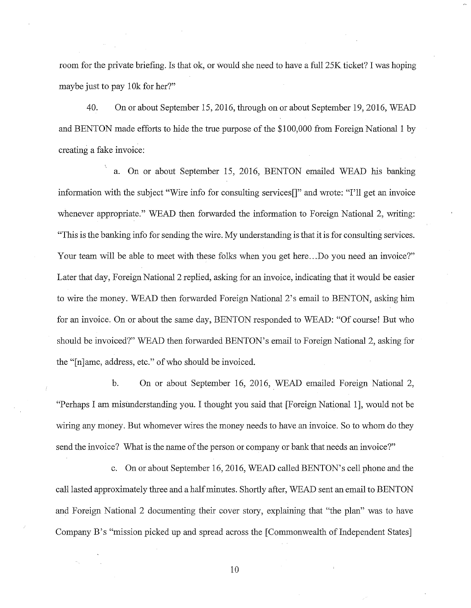room for the private briefing. Is that ok, or would she need to have a full 25K ticket? I was hoping maybe just to pay 10k for her?"

40. On or about September 15, 2016, through on or about September 19, 2016, WEAD and BENTON made efforts to hide the true purpose of the \$100,000 from Foreign National 1 by creating a fake invoice:

a. On or about September 15, 2016, BENTON emailed WEAD his banking information with the subject "Wire info for consulting services<sup>"</sup>" and wrote: "I'll get an invoice whenever appropriate." WEAD then forwarded the information to Foreign National 2, writing: "This is the banking info for sending the wire. My understanding is that it is for consulting services. Your team will be able to meet with these folks when you get here... Do you need an invoice?" Later that day, Foreign National 2 replied, asking for an invoice, indicating that it would be easier to wire the money. WEAD then forwarded Foreign National 2's email to BENTON, asking him for an invoice. On or about the same day, BENTON responded to WEAD: "Of course! But who should be invoiced?" WEAD then forwarded BENTON's email to Foreign National 2, asking for the "[n]ame, address, etc." of who should be invoiced.

b. On or about September 16, 2016, WEAD emailed Foreign National 2, "Perhaps I am misunderstanding you. I thought you said that [Foreign National 1], would not be wiring any money. But whomever wires the money needs to have an invoice. So to whom do they send the invoice? What is the name of the person or company or bank that needs an invoice?"

c. On or about September 16, 2016, WEAD called BENTON's cell phone and the caH lasted approximately three and a halfminutes. Shortly after, WEAD sent an email to BENTON and Foreign National 2 documenting their cover story, explaining that "the plan" was to have Company B's "mission picked up and spread across the [Commonwealth of Independent States]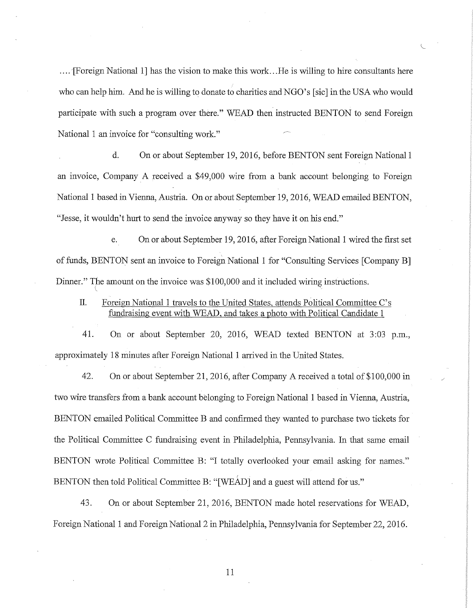.... '[Foreign National 1] has the vision to make this work ... He is willing to hire consultants here who can help him. And he is willing to donate to charities and NGO's [sic] in the USA who would participate with such a program over there." WEAD then instructed BENTON to send Foreign National 1 an invoice for "consulting work."

d. On or about September 19, 2016, before BENTON sent Foreign National 1 an invoice, Company A received a \$49,000 wire from a bank account belonging to Foreign National 1 based in Vienna, Austria. On or about September 19, 2016, WEAD emailed BENTON, "Jesse, it wouldn't hurt to send the invoice anyway so they have it on his end."

e. On or about September 19, 2016, after Foreign National 1 wired the first set of funds, BENTON sent an invoice to Foreign National 1 for "Consulting Services [Company BJ Dinner." The amount on the invoice was \$100,000 and it included wiring instructions.

II. Foreign National 1 travels to the United States, attends Political Committee C's fundraising event with WEAD, and takes a photo with Political Candidate 1

41. On or about September 20, 2016, WEAD texted BENTON at 3:03 p.m., approximately 18 minutes after Foreign National 1 arrived in the United States.

42. On or about September 21, 2016, after Company A received a total of \$100,000 in two wire transfers from a bank account belonging to Foreign National 1 based in Vienna, Austria, BENTON emailed Political Committee B and confirmed they wanted to purchase two tickets for the Political Committee C fundraising event in Philadelphia, Pennsylvania. In that same email BENTON wrote Political Committee B: "I totally overlooked your email asking for names." BENTON then told Political Committee B: "[WEAD] and a guest will attend for us."

43. On or about September 21, 2016, BENTON made hotel reservations for WEAD, Foreign National 1 and Foreign National 2 in Philadelphia, Pennsylvania for September 22, 2016.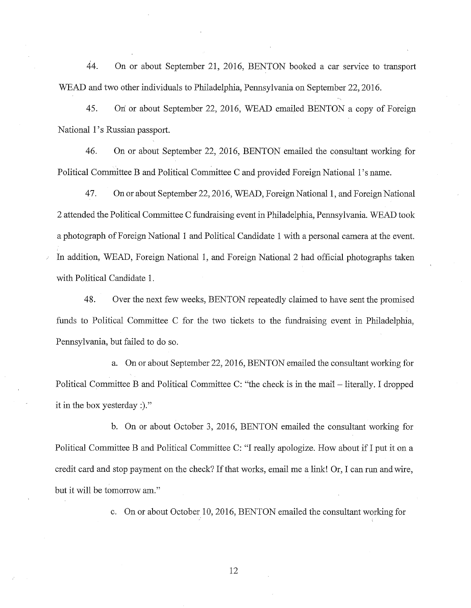44. On or about September 21, 2016, BENTON booked a car service *to* transport WEAD and two other individuals to Philadelphia, Pennsylvania on September 22, 2016.

45. On or about September 22, 2016, WEAD emailed BENTON a copy of Foreign National 1's Russian passport.

46. On or about September 22, 2016, BENTON emailed the consultant working for Political Committee B and Political Committee C and provided Foreign National 1's name.

47. Onor about September 22, 2016, WEAD, Foreign National 1, and Foreign National 2 attended the Political Committee C fundraising event in Philadelphia, Pennsylvania. WEAD took a photograph of Foreign National 1 and Political Candidate 1 with a personal camera at the event. In addition, WEAD, Foreign National 1, and Foreign National 2 had official photographs taken with Political Candidate 1.

48. Over the next few weeks, BENTON repeatedly claimed to have sent the promised funds to Political Committee C for the two tickets to the fundraising event in Philadelphia, Pennsylvania, but failed to do so.

a. On or about September 22, 2016, BENTON emailed the consultant working for Political Committee B and Political Committee C: "the check is in the mail – literally. I dropped it in the box yesterday:)."

b. On or about October 3, 2016, BENTON emailed the consultant working for Political Committee B and Political Committee C: "I really apologize. How about if I put it on a credit card and stop payment on the check? If that works, email me a link! Or, I can run and wire, but it will be tomorrow am."

c. On or about October 10, 2016, BENTON emailed the consultant working for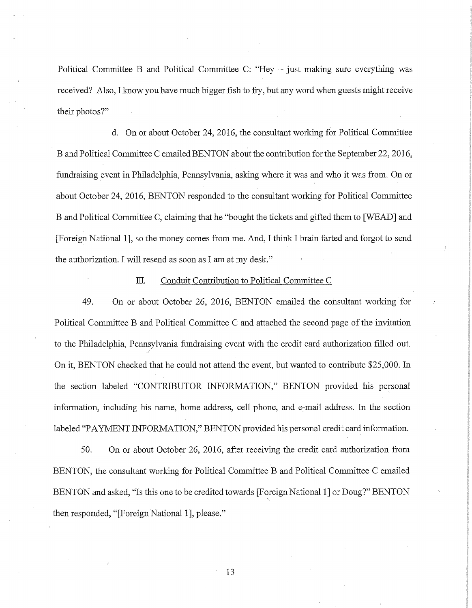Political Committee B and Political Committee C: "Hey - just making sure everything was received? Also, I know you have much bigger fish to fry, but any word when guests might receive their photos?"

d. On or about October 24, 2016, the consultant working for Political Committee B and Political Committee C emailed BENTON about the contribution for the September 22, 2016, fundraising event in Philadelphia, Pennsylvania, asking where it was and who it was from.. On or about October 24, 2016, BENTON responded to the consultant working for Political Committee B and Political Committee C, claiming that he "bought the tickets and gifted them to [WEAD] and [Foreign National 1], so the money comes from me. And, I think I brain farted and forgot to send the authorization. I will resend as soon as I am at my desk."

#### III. Conduit Contribution to Political Committee C

49. On or about October 26, 2016, BENTON emailed the consultant working for Political Committee B and Political Committee C and attached the second page of the invitation to the Philadelphia, Pennsylvania fundraising event with the credit card authorization filled out. ' On it, BENTON checked that he could not attend the event, but wanted to contribute \$25,000. In the section labeled "CONTRIBUTOR INFORMATION," BENTON provided his personal information, including his name, home address, cell phone, and e-mail address. In the section labeled "PAYMENT INFORMATION," BENTON provided his personal credit card information.

50. On or about October 26, 2016, after receiving the credit card authorization from. BENTON, the consultant working for Political Committee B and Political Committee C emailed BENTON and asked, "Is this one to be credited towards [Foreign National 1] or Doug?" BENTON then responded, "[Foreign National 1], please."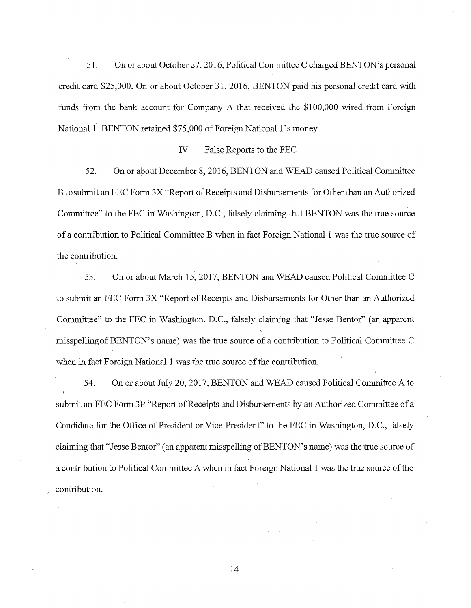51. On or about October 27, 2016, Political Committee C charged BENTON's personal credit card \$25,000. On or about October 31, 2016, BENTON paid his personal credit card with funds from the bank account for Company A that received the \$100,000 wired from Foreign National 1. BENTON retained \$75,000 of Foreign National 1's money.

## *N.* False Reports to the FEC

52. On or about December 8, 2016, BENTON and WEAD caused Political Committee B to submit an FEC Form 3X "Report of Receipts and Disbursements for Other than an Authorized Committee" to the FEC in Washington, D.C., falsely claiming that BENTON was the true source of a contribution to Political Committee B when in fact Foreign National 1 was the true source of the contribution.

53. On or about March 15, 2017, BENTON and WEAD caused Political Committee C to submit an FEC Form 3X "Report of Receipts and Disbursements for Other than an Authorized Committee" to the FEC in Washington, D.C., falsely claiming that "Jesse Bentor" (an apparent misspelling of BENTON's name) was the true source of a contribution to Political Committee C when in fact Foreign National 1 was the true source of the contribution.

54. On or about July 20, 2017, BENTON and WEAD caused Political Committee A to submit an FEC Form 3P "Report of Receipts and Disbursements by an Authorized Committee of a Candidate for the Office of President or Vice-President" to the FEC in Washington, D.C., falsely claiming that "Jesse Bentor" (an apparent misspelling of BENTON's name) was the true source of a contribution to Political Committee A when in fact Foreign National 1 was the true source ofthe contribution.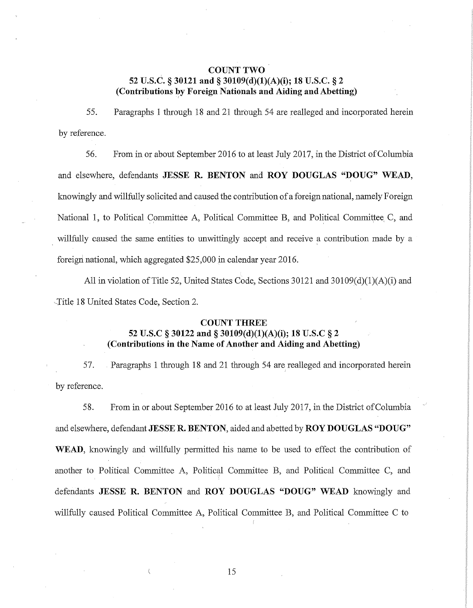# **COUNT TWO 52 U.S.C.** § **30121 and§ 30109(d)(l)(A)(i); 18 U.S.C.** § **2 (Contributions by Foreign Nationals and Aiding and Abetting)**

55. Paragraphs 1 through 18 and 21 through 54 are realleged and incorporated herein by reference.

56. From in or about September 2016 to at least July 2017, in the District of Columbia and elsewhere, defendants **JESSE R. BENTON and ROY DOUGLAS "DOUG" WEAD,**  knowingly and willfully solicited and caused the contribution of a foreign national, namely Foreign National 1, to Political Committee A, Political Committee B, and Political Committee C, and willfully caused the same entities to unwittingly accept and receive a contribution made by a foreign national, which aggregated \$25,000 in calendar year 2016.

All in violation of Title 52, United States Code, Sections 30121 and 30109(d)(1)(A)(i) and Title 18 United States Code, Section 2.

#### **COUNT THREE**

# **52 U.S.C § 30122 and§ 30109(d)(l)(A)(i); 18 U.S.C § 2 (Contributions in the Name of Another and Aiding and Abetting)**

57. Paragraphs 1 through 18 and 21 through 54 are realleged and incorporated herein by reference.

58. From in or about September 2016 to at least July 2017, in the District ofColumbia and elsewhere, defendant **JESSE R. BENTON,** aided and abetted by **ROY DOUGLAS "DOUG" WEAD,** knowingly and willfully permitted his name to be used to effect the contribution of another to Political Committee A, Political Committee B, and Political Committee C, and defendants **JESSE R. BENTON and ROY DOUGLAS "DOUG" WEAD** knowingly and willfully caused Political Committee A, Political Committee B, and Political Committee C to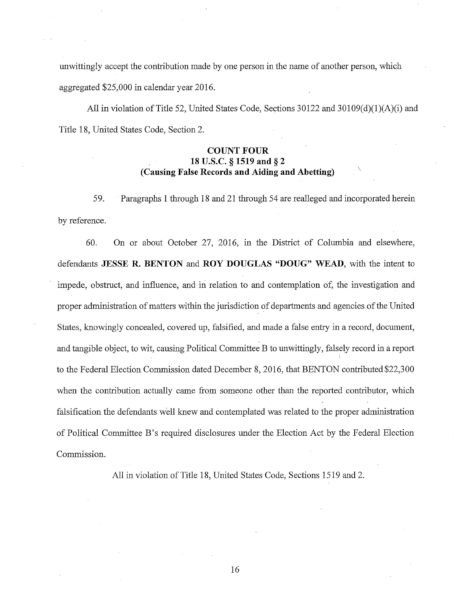unwittingly accept the contribution made by one person in the name of another person, which aggregated \$25,000 in calendar year 2016.

All in violation of Title 52, United States Code, Sections  $30122$  and  $30109(d)(1)(A)(i)$  and Title 18, United States Code, Section 2.

# **COUNT FOUR 18 U.S.C. § 1519 and § 2**  \ **(Causing False Records and Aiding and Abetting)**

59. Paragraphs 1 through 18 and 21 through 54 are realleged and incorporated herein by reference.

60. On or about October 27, 2016, in the District of Columbia and elsewhere, defendants **JESSE R. BENTON and ROY DOUGLAS "DOUG" WEAD,** with the intent to impede, obstruct, and influence, and in relation to and contemplation of, the investigation and proper administration of matters within the jurisdiction of departments and agencies ofthe United States, knowingly concealed, covered up, falsified, and made a false entry in a record, document, and tangible object, to wit, causing Political Committee B to unwittingly, falsely record in a report l to the Federal Election Commission dated December 8, 2016, that BENTON contributed \$22,300 when the contribution actually came from someone other than the reported contributor, which falsification the defendants well knew and contemplated was related to the proper administration of Political Committee B's required disclosures under the Election Act by the Federal Election Commission.

All in violation of Title 18, United States Code, Sections 1519 and 2.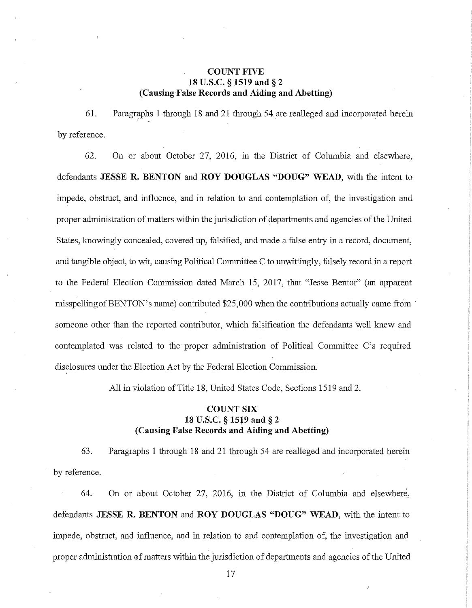# **COUNT FIVE 18 U.S.C. § 1519 and** § **2 (Causing False Records and Aiding and Abetting)**

61. Paragraphs **1** through 18 and 21 through 54 are realleged and incorporated herein *I* . . by reference.

62. On or about October 27, 2016, in the District of Columbia and elsewhere, defendants **JESSE R. BENTON** and **ROY DOUGLAS "DOUG" WEAD,** with the intent to impede, obstruct, and influence, and in relation to and contemplation of, the investigation and proper administration of matters within the jurisdiction of departments and agencies ofthe United States, knowingly concealed, covered up, falsified, and made a false entry in a record, document, and tangible object, to wit, causing Political Committee C to unwittingly, falsely record in a report to the Federal Election Commission dated March 15, 2017, that "Jesse Bentor" (an apparent misspelling of BENTON's name) contributed \$25,000 when the contributions actually came from <sup>•</sup> someone other than the reported contributor, which falsification the defendants well knew and contemplated was related to the proper administration of Political Committee C's required disclosures under the Election Act by the Federal Election Commission.

All in violation of Title 18, United States Code, Sections 1519 and 2.

# **COUNT SIX 18 U.S.C. § 1si9 and** § **2 (Causing False Records and Aiding and Abetting)**

63. Paragraphs 1 through 18 and 21 through 54 are realleged and incorporated herein by reference.

64. On or about October 27, 2016, in the District of Columbia and elsewhere, defendants **JESSE R. BENTON and ROY DOUGLAS "DOUG" WEAD,** with the intent to impede, obstruct, and influence, and in relation to and contemplation of, the investigation and proper administration @f matters within the jurisdiction of departments and agencies of the United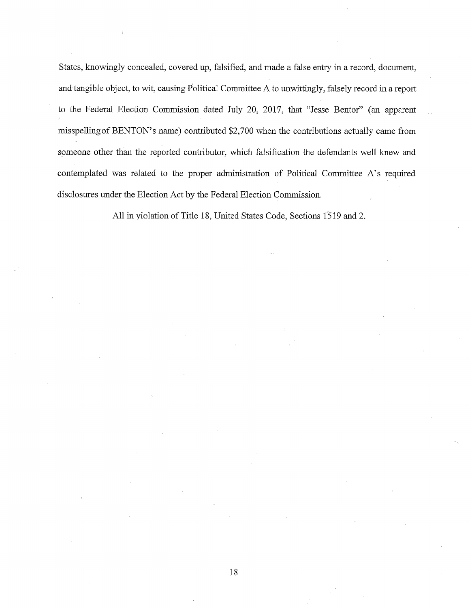States, knowingly concealed, covered up, falsified, and made a false entry in a record, document, and tangible object, to wit, causing Political Committee A to unwittingly, falsely record in a report to the Federal Election Commission dated July 20, 2017, that "Jesse Bentor" (an apparent misspellingof BENTON's name) contributed \$2,700 when the contributions actually came from someone other than the reported contributor, which falsification the defendants well knew and contemplated was related to the proper administration of Political Committee A's required disclosures under the Election Act by the Federal Election Commission.

All in violation of Title 18, United States Code, Sections 1519 and 2.